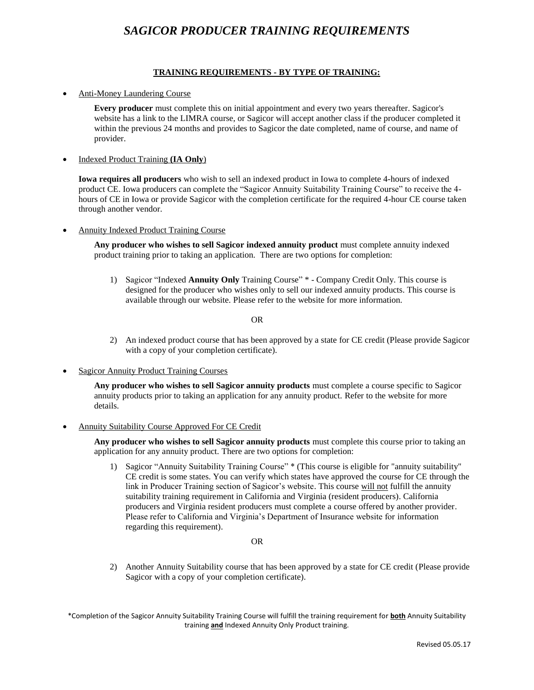# *SAGICOR PRODUCER TRAINING REQUIREMENTS*

### **TRAINING REQUIREMENTS - BY TYPE OF TRAINING:**

Anti-Money Laundering Course

**Every producer** must complete this on initial appointment and every two years thereafter. Sagicor's website has a link to the LIMRA course, or Sagicor will accept another class if the producer completed it within the previous 24 months and provides to Sagicor the date completed, name of course, and name of provider.

Indexed Product Training **(IA Only**)

**Iowa requires all producers** who wish to sell an indexed product in Iowa to complete 4-hours of indexed product CE. Iowa producers can complete the "Sagicor Annuity Suitability Training Course" to receive the 4 hours of CE in Iowa or provide Sagicor with the completion certificate for the required 4-hour CE course taken through another vendor.

Annuity Indexed Product Training Course

**Any producer who wishes to sell Sagicor indexed annuity product** must complete annuity indexed product training prior to taking an application. There are two options for completion:

1) Sagicor "Indexed **Annuity Only** Training Course" \* - Company Credit Only. This course is designed for the producer who wishes only to sell our indexed annuity products. This course is available through our website. Please refer to the website for more information.

OR

- 2) An indexed product course that has been approved by a state for CE credit (Please provide Sagicor with a copy of your completion certificate).
- Sagicor Annuity Product Training Courses

**Any producer who wishes to sell Sagicor annuity products** must complete a course specific to Sagicor annuity products prior to taking an application for any annuity product. Refer to the website for more details.

Annuity Suitability Course Approved For CE Credit

**Any producer who wishes to sell Sagicor annuity products** must complete this course prior to taking an application for any annuity product. There are two options for completion:

1) Sagicor "Annuity Suitability Training Course" \* (This course is eligible for "annuity suitability" CE credit is some states. You can verify which states have approved the course for CE through the link in Producer Training section of Sagicor's website. This course will not fulfill the annuity suitability training requirement in California and Virginia (resident producers). California producers and Virginia resident producers must complete a course offered by another provider. Please refer to California and Virginia's Department of Insurance website for information regarding this requirement).

#### OR

2) Another Annuity Suitability course that has been approved by a state for CE credit (Please provide Sagicor with a copy of your completion certificate).

\*Completion of the Sagicor Annuity Suitability Training Course will fulfill the training requirement for **both** Annuity Suitability training **and** Indexed Annuity Only Product training.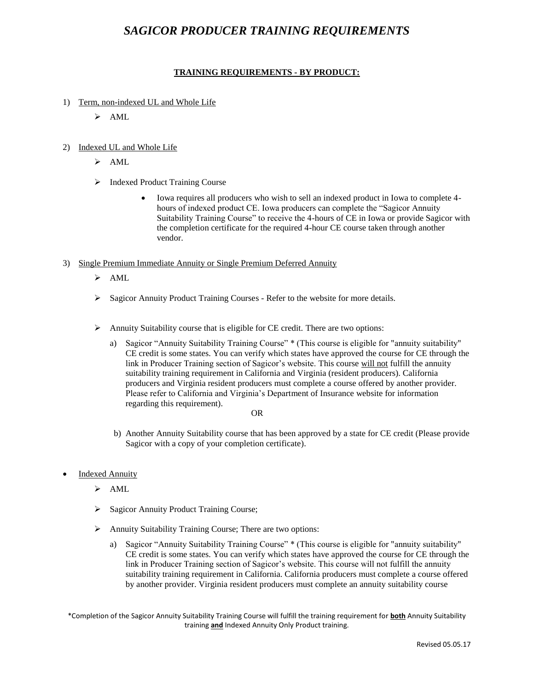## *SAGICOR PRODUCER TRAINING REQUIREMENTS*

## **TRAINING REQUIREMENTS - BY PRODUCT:**

- 1) Term, non-indexed UL and Whole Life
	- $\triangleright$  AML
- 2) Indexed UL and Whole Life
	- $\triangleright$  AML
	- > Indexed Product Training Course
		- Iowa requires all producers who wish to sell an indexed product in Iowa to complete 4 hours of indexed product CE. Iowa producers can complete the "Sagicor Annuity Suitability Training Course" to receive the 4-hours of CE in Iowa or provide Sagicor with the completion certificate for the required 4-hour CE course taken through another vendor.
- 3) Single Premium Immediate Annuity or Single Premium Deferred Annuity
	- $\triangleright$  AML
	- Sagicor Annuity Product Training Courses Refer to the website for more details.
	- $\triangleright$  Annuity Suitability course that is eligible for CE credit. There are two options:
		- a) Sagicor "Annuity Suitability Training Course" \* (This course is eligible for "annuity suitability" CE credit is some states. You can verify which states have approved the course for CE through the link in Producer Training section of Sagicor's website. This course will not fulfill the annuity suitability training requirement in California and Virginia (resident producers). California producers and Virginia resident producers must complete a course offered by another provider. Please refer to California and Virginia's Department of Insurance website for information regarding this requirement).

OR

- b) Another Annuity Suitability course that has been approved by a state for CE credit (Please provide Sagicor with a copy of your completion certificate).
- Indexed Annuity
	- $\triangleright$  AML
	- Sagicor Annuity Product Training Course;
	- Annuity Suitability Training Course; There are two options:
		- a) Sagicor "Annuity Suitability Training Course" \* (This course is eligible for "annuity suitability" CE credit is some states. You can verify which states have approved the course for CE through the link in Producer Training section of Sagicor's website. This course will not fulfill the annuity suitability training requirement in California. California producers must complete a course offered by another provider. Virginia resident producers must complete an annuity suitability course

\*Completion of the Sagicor Annuity Suitability Training Course will fulfill the training requirement for **both** Annuity Suitability training **and** Indexed Annuity Only Product training.